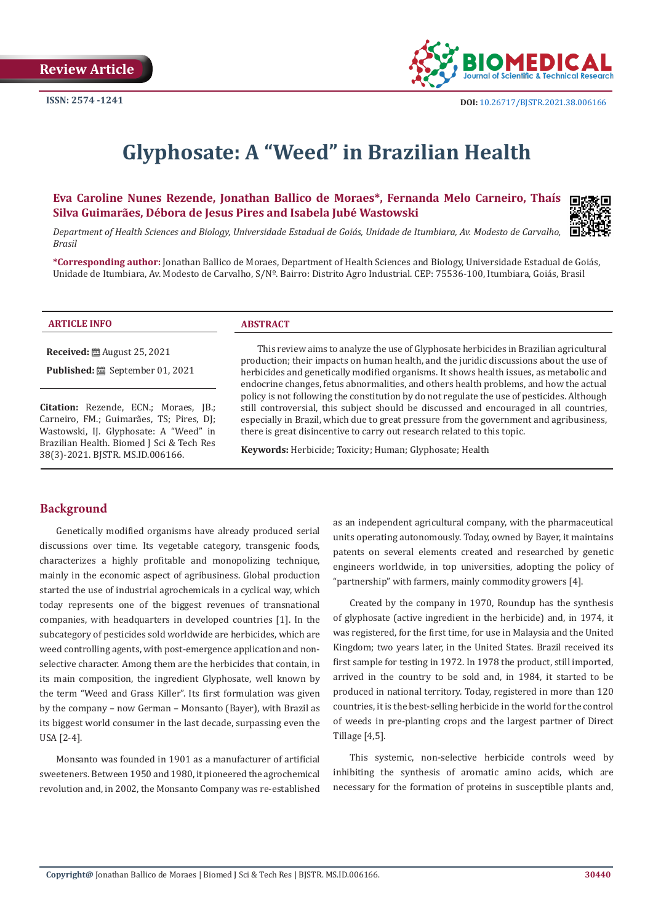

# **Glyphosate: A "Weed" in Brazilian Health**

**Eva Caroline Nunes Rezende, Jonathan Ballico de Moraes\*, Fernanda Melo Carneiro, Thaís Silva Guimarães, Débora de Jesus Pires and Isabela Jubé Wastowski**



*Department of Health Sciences and Biology, Universidade Estadual de Goiás, Unidade de Itumbiara, Av. Modesto de Carvalho, Brasil*

**\*Corresponding author:** Jonathan Ballico de Moraes, Department of Health Sciences and Biology, Universidade Estadual de Goiás, Unidade de Itumbiara, Av. Modesto de Carvalho, S/Nº. Bairro: Distrito Agro Industrial. CEP: 75536-100, Itumbiara, Goiás, Brasil

| <b>ARTICLE INFO</b>                | <b>ABSTRACT</b>                                                                        |
|------------------------------------|----------------------------------------------------------------------------------------|
| <b>Received:</b> 圖 August 25, 2021 | This review aims to analyze the use of Glyphosate herbicides in Brazilian agricultural |

**Published:** September 01, 2021

**Citation:** Rezende, ECN.; Moraes, JB.; Carneiro, FM.; Guimarães, TS; Pires, DJ; Wastowski, IJ. Glyphosate: A "Weed" in Brazilian Health. Biomed J Sci & Tech Res 38(3)-2021. BJSTR. MS.ID.006166.

w aims to analyze the use of Glyphosate herbicides in Brazil: production; their impacts on human health, and the juridic discussions about the use of herbicides and genetically modified organisms. It shows health issues, as metabolic and endocrine changes, fetus abnormalities, and others health problems, and how the actual policy is not following the constitution by do not regulate the use of pesticides. Although still controversial, this subject should be discussed and encouraged in all countries, especially in Brazil, which due to great pressure from the government and agribusiness, there is great disincentive to carry out research related to this topic.

**Keywords:** Herbicide; Toxicity; Human; Glyphosate; Health

# **Background**

Genetically modified organisms have already produced serial discussions over time. Its vegetable category, transgenic foods, characterizes a highly profitable and monopolizing technique, mainly in the economic aspect of agribusiness. Global production started the use of industrial agrochemicals in a cyclical way, which today represents one of the biggest revenues of transnational companies, with headquarters in developed countries [1]. In the subcategory of pesticides sold worldwide are herbicides, which are weed controlling agents, with post-emergence application and nonselective character. Among them are the herbicides that contain, in its main composition, the ingredient Glyphosate, well known by the term "Weed and Grass Killer". Its first formulation was given by the company – now German – Monsanto (Bayer), with Brazil as its biggest world consumer in the last decade, surpassing even the USA [2-4].

Monsanto was founded in 1901 as a manufacturer of artificial sweeteners. Between 1950 and 1980, it pioneered the agrochemical revolution and, in 2002, the Monsanto Company was re-established as an independent agricultural company, with the pharmaceutical units operating autonomously. Today, owned by Bayer, it maintains patents on several elements created and researched by genetic engineers worldwide, in top universities, adopting the policy of "partnership" with farmers, mainly commodity growers [4].

Created by the company in 1970, Roundup has the synthesis of glyphosate (active ingredient in the herbicide) and, in 1974, it was registered, for the first time, for use in Malaysia and the United Kingdom; two years later, in the United States. Brazil received its first sample for testing in 1972. In 1978 the product, still imported, arrived in the country to be sold and, in 1984, it started to be produced in national territory. Today, registered in more than 120 countries, it is the best-selling herbicide in the world for the control of weeds in pre-planting crops and the largest partner of Direct Tillage [4,5].

This systemic, non-selective herbicide controls weed by inhibiting the synthesis of aromatic amino acids, which are necessary for the formation of proteins in susceptible plants and,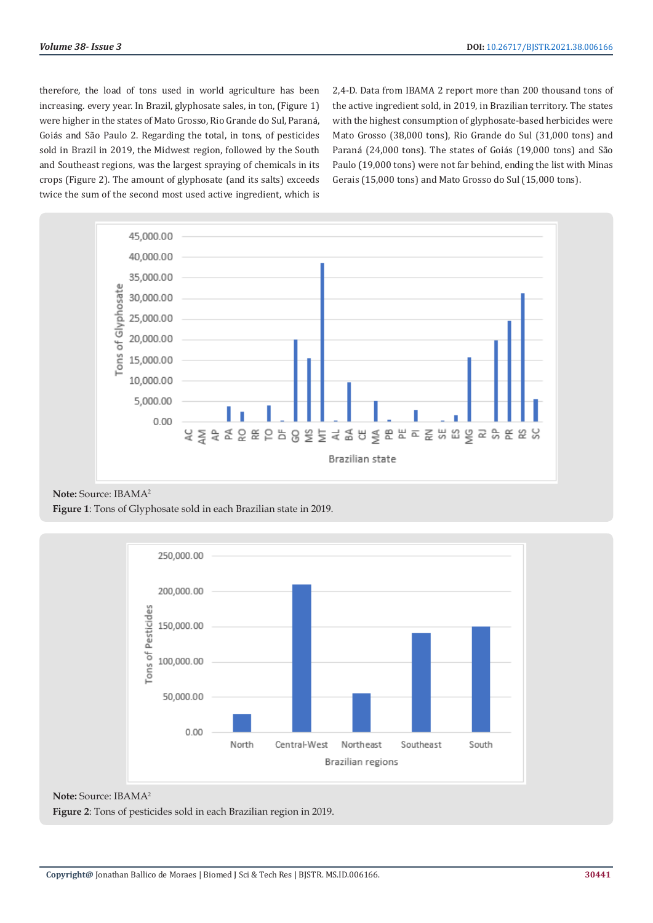therefore, the load of tons used in world agriculture has been increasing. every year. In Brazil, glyphosate sales, in ton, (Figure 1) were higher in the states of Mato Grosso, Rio Grande do Sul, Paraná, Goiás and São Paulo 2. Regarding the total, in tons, of pesticides sold in Brazil in 2019, the Midwest region, followed by the South and Southeast regions, was the largest spraying of chemicals in its crops (Figure 2). The amount of glyphosate (and its salts) exceeds twice the sum of the second most used active ingredient, which is

2,4-D. Data from IBAMA 2 report more than 200 thousand tons of the active ingredient sold, in 2019, in Brazilian territory. The states with the highest consumption of glyphosate-based herbicides were Mato Grosso (38,000 tons), Rio Grande do Sul (31,000 tons) and Paraná (24,000 tons). The states of Goiás (19,000 tons) and São Paulo (19,000 tons) were not far behind, ending the list with Minas Gerais (15,000 tons) and Mato Grosso do Sul (15,000 tons).



**Note:** Source: IBAMA2

**Figure 1**: Tons of Glyphosate sold in each Brazilian state in 2019.



**Note:** Source: IBAMA2

**Figure 2**: Tons of pesticides sold in each Brazilian region in 2019.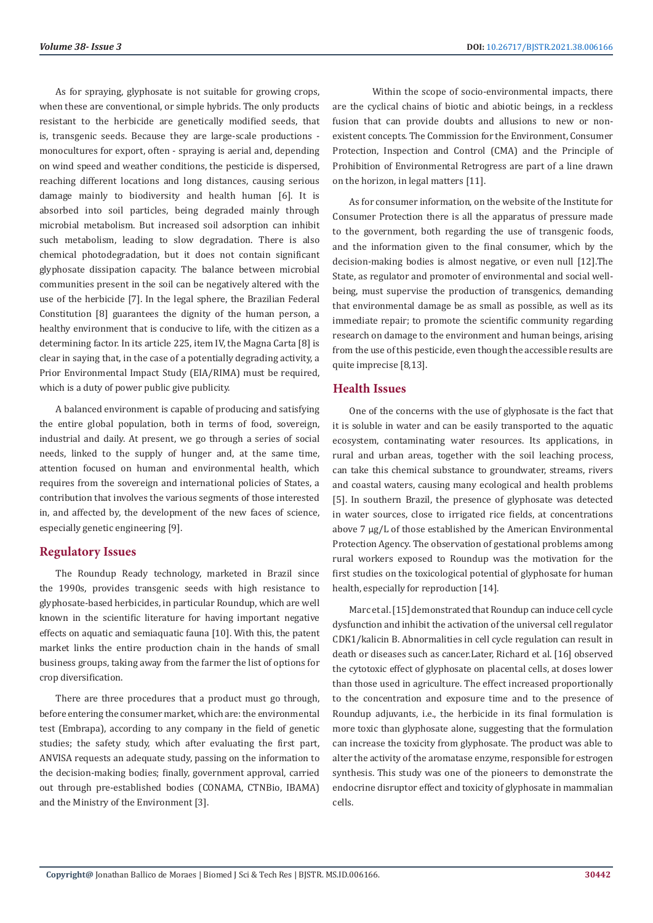As for spraying, glyphosate is not suitable for growing crops, when these are conventional, or simple hybrids. The only products resistant to the herbicide are genetically modified seeds, that is, transgenic seeds. Because they are large-scale productions monocultures for export, often - spraying is aerial and, depending on wind speed and weather conditions, the pesticide is dispersed, reaching different locations and long distances, causing serious damage mainly to biodiversity and health human [6]. It is absorbed into soil particles, being degraded mainly through microbial metabolism. But increased soil adsorption can inhibit such metabolism, leading to slow degradation. There is also chemical photodegradation, but it does not contain significant glyphosate dissipation capacity. The balance between microbial communities present in the soil can be negatively altered with the use of the herbicide [7]. In the legal sphere, the Brazilian Federal Constitution [8] guarantees the dignity of the human person, a healthy environment that is conducive to life, with the citizen as a determining factor. In its article 225, item IV, the Magna Carta [8] is clear in saying that, in the case of a potentially degrading activity, a Prior Environmental Impact Study (EIA/RIMA) must be required, which is a duty of power public give publicity.

A balanced environment is capable of producing and satisfying the entire global population, both in terms of food, sovereign, industrial and daily. At present, we go through a series of social needs, linked to the supply of hunger and, at the same time, attention focused on human and environmental health, which requires from the sovereign and international policies of States, a contribution that involves the various segments of those interested in, and affected by, the development of the new faces of science, especially genetic engineering [9].

#### **Regulatory Issues**

The Roundup Ready technology, marketed in Brazil since the 1990s, provides transgenic seeds with high resistance to glyphosate-based herbicides, in particular Roundup, which are well known in the scientific literature for having important negative effects on aquatic and semiaquatic fauna [10]. With this, the patent market links the entire production chain in the hands of small business groups, taking away from the farmer the list of options for crop diversification.

There are three procedures that a product must go through, before entering the consumer market, which are: the environmental test (Embrapa), according to any company in the field of genetic studies; the safety study, which after evaluating the first part, ANVISA requests an adequate study, passing on the information to the decision-making bodies; finally, government approval, carried out through pre-established bodies (CONAMA, CTNBio, IBAMA) and the Ministry of the Environment [3].

Within the scope of socio-environmental impacts, there are the cyclical chains of biotic and abiotic beings, in a reckless fusion that can provide doubts and allusions to new or nonexistent concepts. The Commission for the Environment, Consumer Protection, Inspection and Control (CMA) and the Principle of Prohibition of Environmental Retrogress are part of a line drawn on the horizon, in legal matters [11].

As for consumer information, on the website of the Institute for Consumer Protection there is all the apparatus of pressure made to the government, both regarding the use of transgenic foods, and the information given to the final consumer, which by the decision-making bodies is almost negative, or even null [12].The State, as regulator and promoter of environmental and social wellbeing, must supervise the production of transgenics, demanding that environmental damage be as small as possible, as well as its immediate repair; to promote the scientific community regarding research on damage to the environment and human beings, arising from the use of this pesticide, even though the accessible results are quite imprecise [8,13].

## **Health Issues**

One of the concerns with the use of glyphosate is the fact that it is soluble in water and can be easily transported to the aquatic ecosystem, contaminating water resources. Its applications, in rural and urban areas, together with the soil leaching process, can take this chemical substance to groundwater, streams, rivers and coastal waters, causing many ecological and health problems [5]. In southern Brazil, the presence of glyphosate was detected in water sources, close to irrigated rice fields, at concentrations above 7 μg/L of those established by the American Environmental Protection Agency. The observation of gestational problems among rural workers exposed to Roundup was the motivation for the first studies on the toxicological potential of glyphosate for human health, especially for reproduction [14].

Marc et al. [15] demonstrated that Roundup can induce cell cycle dysfunction and inhibit the activation of the universal cell regulator CDK1/kalicin B. Abnormalities in cell cycle regulation can result in death or diseases such as cancer.Later, Richard et al. [16] observed the cytotoxic effect of glyphosate on placental cells, at doses lower than those used in agriculture. The effect increased proportionally to the concentration and exposure time and to the presence of Roundup adjuvants, i.e., the herbicide in its final formulation is more toxic than glyphosate alone, suggesting that the formulation can increase the toxicity from glyphosate. The product was able to alter the activity of the aromatase enzyme, responsible for estrogen synthesis. This study was one of the pioneers to demonstrate the endocrine disruptor effect and toxicity of glyphosate in mammalian cells.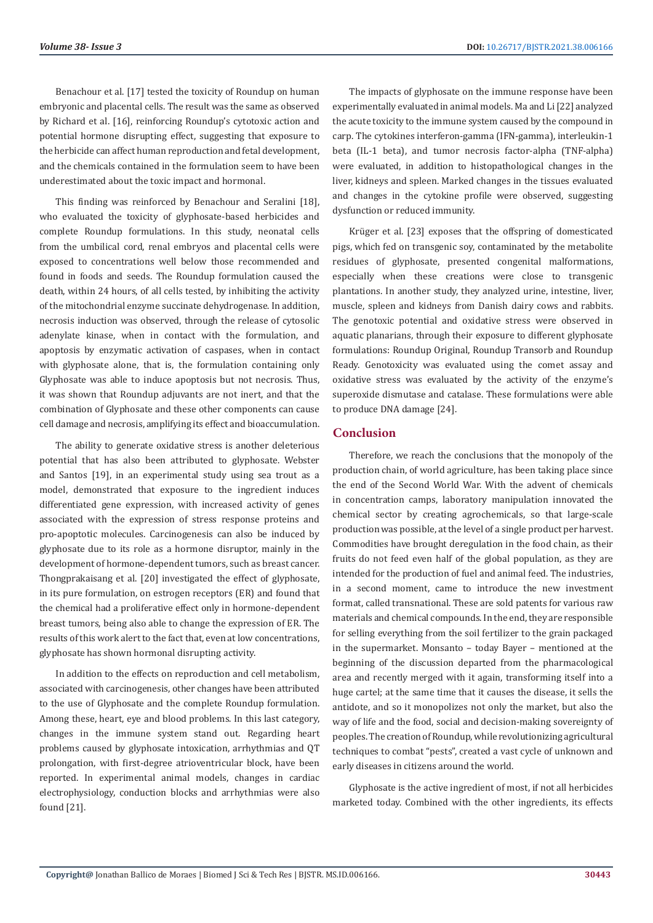Benachour et al. [17] tested the toxicity of Roundup on human embryonic and placental cells. The result was the same as observed by Richard et al. [16], reinforcing Roundup's cytotoxic action and potential hormone disrupting effect, suggesting that exposure to the herbicide can affect human reproduction and fetal development, and the chemicals contained in the formulation seem to have been underestimated about the toxic impact and hormonal.

This finding was reinforced by Benachour and Seralini [18], who evaluated the toxicity of glyphosate-based herbicides and complete Roundup formulations. In this study, neonatal cells from the umbilical cord, renal embryos and placental cells were exposed to concentrations well below those recommended and found in foods and seeds. The Roundup formulation caused the death, within 24 hours, of all cells tested, by inhibiting the activity of the mitochondrial enzyme succinate dehydrogenase. In addition, necrosis induction was observed, through the release of cytosolic adenylate kinase, when in contact with the formulation, and apoptosis by enzymatic activation of caspases, when in contact with glyphosate alone, that is, the formulation containing only Glyphosate was able to induce apoptosis but not necrosis. Thus, it was shown that Roundup adjuvants are not inert, and that the combination of Glyphosate and these other components can cause cell damage and necrosis, amplifying its effect and bioaccumulation.

The ability to generate oxidative stress is another deleterious potential that has also been attributed to glyphosate. Webster and Santos [19], in an experimental study using sea trout as a model, demonstrated that exposure to the ingredient induces differentiated gene expression, with increased activity of genes associated with the expression of stress response proteins and pro-apoptotic molecules. Carcinogenesis can also be induced by glyphosate due to its role as a hormone disruptor, mainly in the development of hormone-dependent tumors, such as breast cancer. Thongprakaisang et al. [20] investigated the effect of glyphosate, in its pure formulation, on estrogen receptors (ER) and found that the chemical had a proliferative effect only in hormone-dependent breast tumors, being also able to change the expression of ER. The results of this work alert to the fact that, even at low concentrations, glyphosate has shown hormonal disrupting activity.

In addition to the effects on reproduction and cell metabolism, associated with carcinogenesis, other changes have been attributed to the use of Glyphosate and the complete Roundup formulation. Among these, heart, eye and blood problems. In this last category, changes in the immune system stand out. Regarding heart problems caused by glyphosate intoxication, arrhythmias and QT prolongation, with first-degree atrioventricular block, have been reported. In experimental animal models, changes in cardiac electrophysiology, conduction blocks and arrhythmias were also found [21].

The impacts of glyphosate on the immune response have been experimentally evaluated in animal models. Ma and Li [22] analyzed the acute toxicity to the immune system caused by the compound in carp. The cytokines interferon-gamma (IFN-gamma), interleukin-1 beta (IL-1 beta), and tumor necrosis factor-alpha (TNF-alpha) were evaluated, in addition to histopathological changes in the liver, kidneys and spleen. Marked changes in the tissues evaluated and changes in the cytokine profile were observed, suggesting dysfunction or reduced immunity.

Krüger et al. [23] exposes that the offspring of domesticated pigs, which fed on transgenic soy, contaminated by the metabolite residues of glyphosate, presented congenital malformations, especially when these creations were close to transgenic plantations. In another study, they analyzed urine, intestine, liver, muscle, spleen and kidneys from Danish dairy cows and rabbits. The genotoxic potential and oxidative stress were observed in aquatic planarians, through their exposure to different glyphosate formulations: Roundup Original, Roundup Transorb and Roundup Ready. Genotoxicity was evaluated using the comet assay and oxidative stress was evaluated by the activity of the enzyme's superoxide dismutase and catalase. These formulations were able to produce DNA damage [24].

## **Conclusion**

Therefore, we reach the conclusions that the monopoly of the production chain, of world agriculture, has been taking place since the end of the Second World War. With the advent of chemicals in concentration camps, laboratory manipulation innovated the chemical sector by creating agrochemicals, so that large-scale production was possible, at the level of a single product per harvest. Commodities have brought deregulation in the food chain, as their fruits do not feed even half of the global population, as they are intended for the production of fuel and animal feed. The industries, in a second moment, came to introduce the new investment format, called transnational. These are sold patents for various raw materials and chemical compounds. In the end, they are responsible for selling everything from the soil fertilizer to the grain packaged in the supermarket. Monsanto – today Bayer – mentioned at the beginning of the discussion departed from the pharmacological area and recently merged with it again, transforming itself into a huge cartel; at the same time that it causes the disease, it sells the antidote, and so it monopolizes not only the market, but also the way of life and the food, social and decision-making sovereignty of peoples. The creation of Roundup, while revolutionizing agricultural techniques to combat "pests", created a vast cycle of unknown and early diseases in citizens around the world.

Glyphosate is the active ingredient of most, if not all herbicides marketed today. Combined with the other ingredients, its effects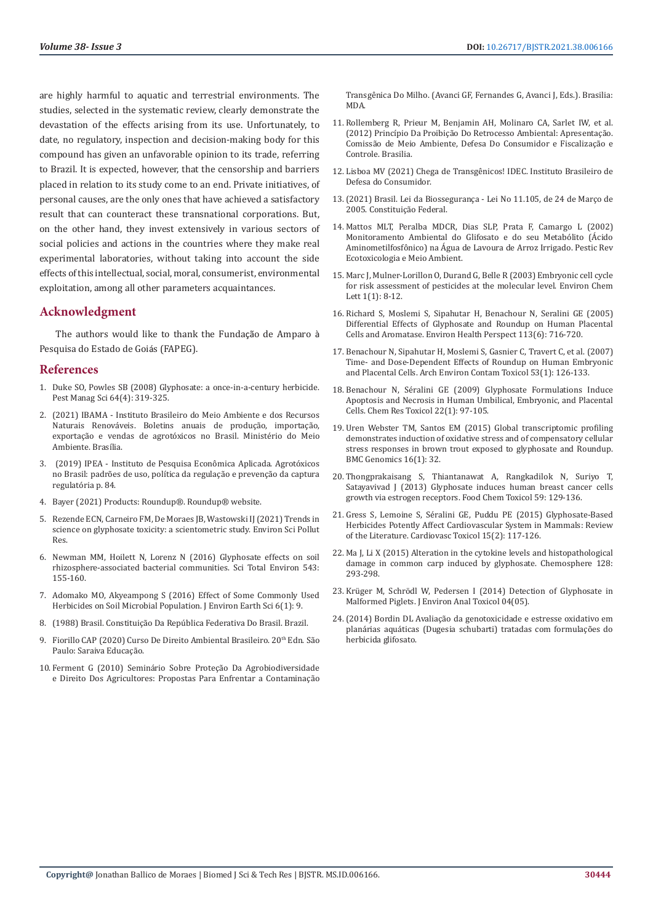are highly harmful to aquatic and terrestrial environments. The studies, selected in the systematic review, clearly demonstrate the devastation of the effects arising from its use. Unfortunately, to date, no regulatory, inspection and decision-making body for this compound has given an unfavorable opinion to its trade, referring to Brazil. It is expected, however, that the censorship and barriers placed in relation to its study come to an end. Private initiatives, of personal causes, are the only ones that have achieved a satisfactory result that can counteract these transnational corporations. But, on the other hand, they invest extensively in various sectors of social policies and actions in the countries where they make real experimental laboratories, without taking into account the side effects of this intellectual, social, moral, consumerist, environmental exploitation, among all other parameters acquaintances.

## **Acknowledgment**

The authors would like to thank the Fundação de Amparo à Pesquisa do Estado de Goiás (FAPEG).

#### **References**

- 1. [Duke SO, Powles SB \(2008\) Glyphosate: a once-in-a-century herbicide.](https://pubmed.ncbi.nlm.nih.gov/18273882/)  [Pest Manag Sci 64\(4\): 319-325.](https://pubmed.ncbi.nlm.nih.gov/18273882/)
- 2. (2021) IBAMA Instituto Brasileiro do Meio Ambiente e dos Recursos Naturais Renováveis. Boletins anuais de produção, importação, exportação e vendas de agrotóxicos no Brasil. Ministério do Meio Ambiente. Brasília.
- 3. [\(2019\) IPEA Instituto de Pesquisa Econômica Aplicada. Agrotó](http://repositorio.ipea.gov.br/bitstream/11058/9371/1/td_2506.pdf.)xicos [no Brasil: padrões de uso, política da regulação e prevenção da captura](http://repositorio.ipea.gov.br/bitstream/11058/9371/1/td_2506.pdf.)  [regulatória p. 84.](http://repositorio.ipea.gov.br/bitstream/11058/9371/1/td_2506.pdf.)
- 4. [Bayer \(2021\) Products: Roundup®. Roundup® website.](http://www.roundup.com.br/roundup)
- 5. Rezende ECN, Carneiro FM, De Moraes JB, Wastowski IJ (2021) Trends in science on glyphosate toxicity: a scientometric study. Environ Sci Pollut Res.
- 6. [Newman MM, Hoilett N, Lorenz N \(2016\) Glyphosate effects on soil](https://www.sciencedirect.com/science/article/pii/S004896971530989X)  [rhizosphere-associated bacterial communities. Sci Total Environ 543:](https://www.sciencedirect.com/science/article/pii/S004896971530989X)  [155-160.](https://www.sciencedirect.com/science/article/pii/S004896971530989X)
- 7. Adomako MO, Akyeampong S (2016) Effect of Some Commonly Used Herbicides on Soil Microbial Population. J Environ Earth Sci 6(1): 9.
- 8. [\(1988\) Brasil. Constituição Da República Federativa Do Brasil. Brazil.](http://www.planalto.gov.br/ccivil_03/constituicao/constituicao.htm.)
- 9. Fiorillo CAP (2020) Curso De Direito Ambiental Brasileiro. 20<sup>th</sup> Edn. São Paulo: Saraiva Educação.
- 10. [Ferment G \(2010\) Seminário Sobre Proteção Da Agrobiodiversidade](https://www.academia.edu/41404868/Seminário_sobre_Proteção_da_Agrobiodiversidade_e_Direito_dos_Agricultores_Propostas_para_enfrentar_a_contaminação_transgênica_do_milho_Atas_Discussões_e_Encaminhamentos_Organizadores.)  [e Direito Dos Agricultores: Propostas Para Enfrentar a Contaminação](https://www.academia.edu/41404868/Seminário_sobre_Proteção_da_Agrobiodiversidade_e_Direito_dos_Agricultores_Propostas_para_enfrentar_a_contaminação_transgênica_do_milho_Atas_Discussões_e_Encaminhamentos_Organizadores.)

[Transgênica Do Milho. \(Avanci GF, Fernandes G, Avanci J, Eds.\). Brasilia:](https://www.academia.edu/41404868/Seminário_sobre_Proteção_da_Agrobiodiversidade_e_Direito_dos_Agricultores_Propostas_para_enfrentar_a_contaminação_transgênica_do_milho_Atas_Discussões_e_Encaminhamentos_Organizadores.) [MDA.](https://www.academia.edu/41404868/Seminário_sobre_Proteção_da_Agrobiodiversidade_e_Direito_dos_Agricultores_Propostas_para_enfrentar_a_contaminação_transgênica_do_milho_Atas_Discussões_e_Encaminhamentos_Organizadores.)

- 11. Rollemberg R, Prieur M, Benjamin AH, Molinaro CA, Sarlet IW, et al. (2012) Princípio Da Proibição Do Retrocesso Ambiental: Apresentação. Comissão de Meio Ambiente, Defesa Do Consumidor e Fiscalização e Controle. Brasilia.
- 12. [Lisboa MV \(2021\) Chega de Transgênicos! IDEC. Instituto Brasileiro de](https://idec.org.br/materia/chega-de-transgenicos.) [Defesa do Consumidor.](https://idec.org.br/materia/chega-de-transgenicos.)
- 13.[\(2021\) Brasil. Lei da Biossegurança Lei No 11.105, de 24 de Março de](http://www.planalto.gov.br/ccivil_03/_ato2004-2006/2005/lei/l11105.htm.) [2005. Constituição Federal.](http://www.planalto.gov.br/ccivil_03/_ato2004-2006/2005/lei/l11105.htm.)
- 14. Mattos MLT, Peralba MDCR, Dias SLP, Prata F, Camargo L (2002) Monitoramento Ambiental do Glifosato e do seu Metabólito (Ácido Aminometilfosfônico) na Água de Lavoura de Arroz Irrigado. Pestic Rev Ecotoxicologia e Meio Ambient.
- 15. [Marc J, Mulner-Lorillon O, Durand G, Belle R \(2003\) Embryonic cell cycle](https://www.researchgate.net/publication/226878171_Embryonic_cell_cycle_for_risk_assessment_of_pesticides_at_the_molecular_level) [for risk assessment of pesticides at the molecular level. Environ Chem](https://www.researchgate.net/publication/226878171_Embryonic_cell_cycle_for_risk_assessment_of_pesticides_at_the_molecular_level) [Lett 1\(1\): 8-12.](https://www.researchgate.net/publication/226878171_Embryonic_cell_cycle_for_risk_assessment_of_pesticides_at_the_molecular_level)
- 16. [Richard S, Moslemi S, Sipahutar H, Benachour N, Seralini GE \(2005\)](https://pubmed.ncbi.nlm.nih.gov/15929894/) [Differential Effects of Glyphosate and Roundup on Human Placental](https://pubmed.ncbi.nlm.nih.gov/15929894/) [Cells and Aromatase. Environ Health Perspect 113\(6\): 716-720.](https://pubmed.ncbi.nlm.nih.gov/15929894/)
- 17. [Benachour N, Sipahutar H, Moslemi S, Gasnier C, Travert C, et al. \(2007\)](https://pubmed.ncbi.nlm.nih.gov/17486286/) [Time- and Dose-Dependent Effects of Roundup on Human Embryonic](https://pubmed.ncbi.nlm.nih.gov/17486286/) [and Placental Cells. Arch Environ Contam Toxicol 53\(1\): 126-133.](https://pubmed.ncbi.nlm.nih.gov/17486286/)
- 18. [Benachour N, Séralini GE \(2009\) Glyphosate Formulations Induce](https://pubmed.ncbi.nlm.nih.gov/19105591/) [Apoptosis and Necrosis in Human Umbilical, Embryonic, and Placental](https://pubmed.ncbi.nlm.nih.gov/19105591/) [Cells. Chem Res Toxicol 22\(1\): 97-105.](https://pubmed.ncbi.nlm.nih.gov/19105591/)
- 19. [Uren Webster TM, Santos EM \(2015\) Global transcriptomic profiling](https://pubmed.ncbi.nlm.nih.gov/25636363/) [demonstrates induction of oxidative stress and of compensatory cellular](https://pubmed.ncbi.nlm.nih.gov/25636363/) [stress responses in brown trout exposed to glyphosate and Roundup.](https://pubmed.ncbi.nlm.nih.gov/25636363/) [BMC Genomics 16\(1\): 32.](https://pubmed.ncbi.nlm.nih.gov/25636363/)
- 20. [Thongprakaisang S, Thiantanawat A, Rangkadilok N, Suriyo T,](https://pubmed.ncbi.nlm.nih.gov/23756170/) [Satayavivad J \(2013\) Glyphosate induces human breast cancer cells](https://pubmed.ncbi.nlm.nih.gov/23756170/) [growth via estrogen receptors. Food Chem Toxicol 59: 129-136.](https://pubmed.ncbi.nlm.nih.gov/23756170/)
- 21. [Gress S, Lemoine S, Séralini GE, Puddu PE \(2015\) Glyphosate-Based](https://pubmed.ncbi.nlm.nih.gov/25245870/) [Herbicides Potently Affect Cardiovascular System in Mammals: Review](https://pubmed.ncbi.nlm.nih.gov/25245870/) [of the Literature. Cardiovasc Toxicol 15\(2\): 117-126.](https://pubmed.ncbi.nlm.nih.gov/25245870/)
- 22. [Ma J, Li X \(2015\) Alteration in the cytokine levels and histopathological](https://pubmed.ncbi.nlm.nih.gov/25747155/) [damage in common carp induced by glyphosate. Chemosphere 128:](https://pubmed.ncbi.nlm.nih.gov/25747155/) [293-298.](https://pubmed.ncbi.nlm.nih.gov/25747155/)
- 23. Krüger M, Schrödl W, Pedersen I (2014) Detection of Glyphosate in Malformed Piglets. J Environ Anal Toxicol 04(05).
- 24.[\(2014\) Bordin DL Avaliação da genotoxicidade e estresse oxidativo em](https://repositorio.ucs.br/xmlui/handle/11338/480?show=full.) [planárias aquáticas \(Dugesia schubarti\) tratadas com formulações do](https://repositorio.ucs.br/xmlui/handle/11338/480?show=full.) [herbicida glifosato.](https://repositorio.ucs.br/xmlui/handle/11338/480?show=full.)